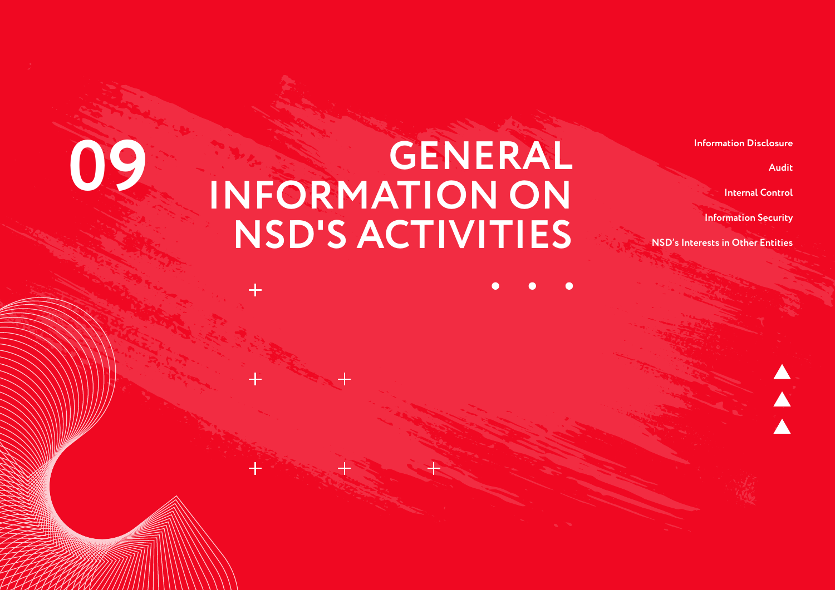**Audit**

**Internal Control**

**Information Security**

**NSD's Interests in Other Entities**

### **GENERAL INFORMATION ON NSD'S ACTIVITIES 09 INFORMATION ON Information Disclosure**<br> **INFORMATION ON** Internal Control

 $\pm$ 

 $+$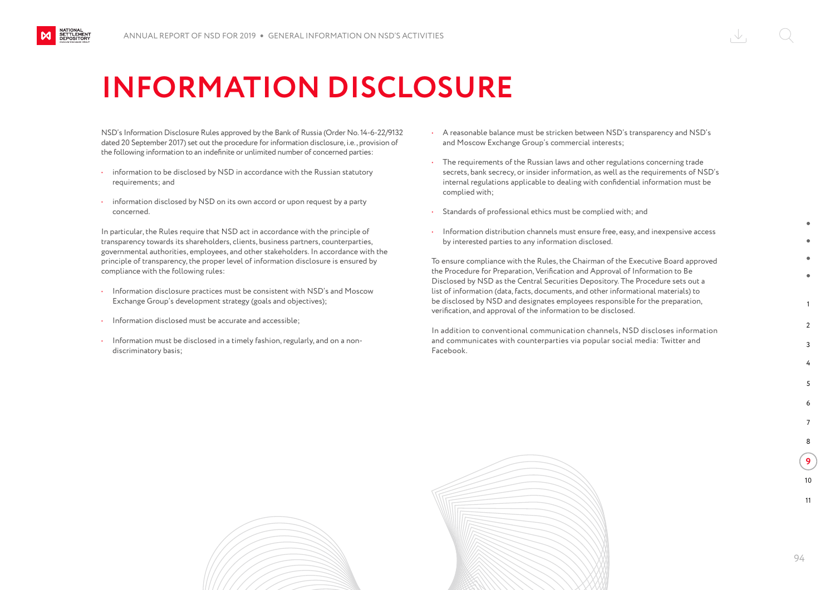### **INFORMATION DISCLOSURE**

NSD's Information Disclosure Rules approved by the Bank of Russia (Order No. 14-6-22/9132 dated 20 September 2017) set out the procedure for information disclosure, i.e., provision of the following information to an indefinite or unlimited number of concerned parties:

- information to be disclosed by NSD in accordance with the Russian statutory requirements; and
- information disclosed by NSD on its own accord or upon request by a party concerned.

In particular, the Rules require that NSD act in accordance with the principle of transparency towards its shareholders, clients, business partners, counterparties, governmental authorities, employees, and other stakeholders. In accordance with the principle of transparency, the proper level of information disclosure is ensured by compliance with the following rules:

- Information disclosure practices must be consistent with NSD's and Moscow Exchange Group's development strategy (goals and objectives);
- Information disclosed must be accurate and accessible;

NATIONAL<br>SETTLEMENT<br>DEPOSITORY

• Information must be disclosed in a timely fashion, regularly, and on a nondiscriminatory basis;

- A reasonable balance must be stricken between NSD's transparency and NSD's and Moscow Exchange Group's commercial interests;
- The requirements of the Russian laws and other regulations concerning trade secrets, bank secrecy, or insider information, as well as the requirements of NSD's internal regulations applicable to dealing with confidential information must be complied with;
- Standards of professional ethics must be complied with; and
- Information distribution channels must ensure free, easy, and inexpensive access by interested parties to any information disclosed.

To ensure compliance with the Rules, the Chairman of the Executive Board approved the Procedure for Preparation, Verification and Approval of Information to Be Disclosed by NSD as the Central Securities Depository. The Procedure sets out a list of information (data, facts, documents, and other informational materials) to be disclosed by NSD and designates employees responsible for the preparation, verification, and approval of the information to be disclosed.

In addition to conventional communication channels, NSD discloses information and communicates with counterparties via popular social media: Twitter and Facebook.



1

 $\mathcal{L}$  $\overline{2}$ 

> 4 5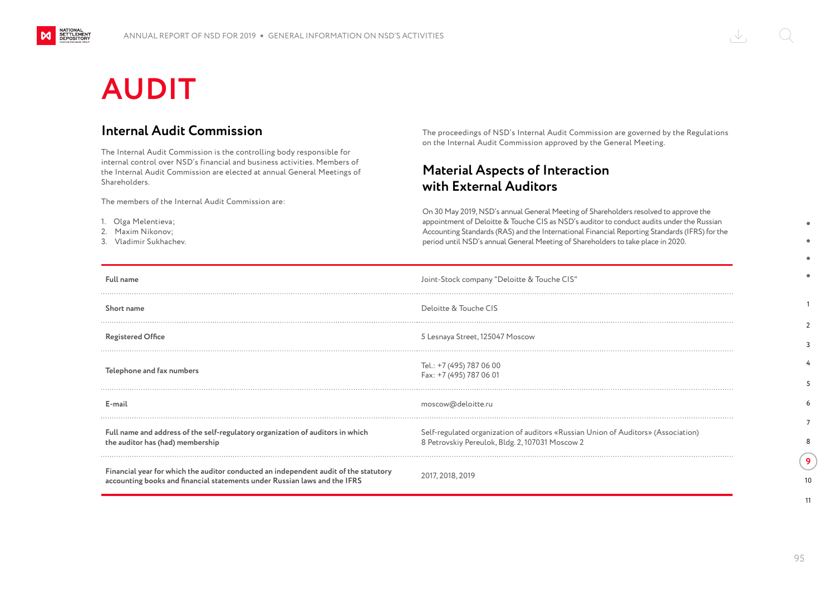# **AUDIT**

NATIONAL<br>SETTLEMENT<br>DEPOSITORY

M

#### **Internal Audit Commission**

The Internal Audit Commission is the controlling body responsible for internal control over NSD's financial and business activities. Members of the Internal Audit Commission are elected at annual General Meetings of Shareholders.

The members of the Internal Audit Commission are:

- 1. Olga Melentieva;
- 2. Maxim Nikonov;
- 3. Vladimir Sukhachev.

The proceedings of NSD's Internal Audit Commission are governed by the Regulations on the Internal Audit Commission approved by the General Meeting.

### **Material Aspects of Interaction with External Auditors**

On 30 May 2019, NSD's annual General Meeting of Shareholders resolved to approve the appointment of Deloitte & Touche CIS as NSD's auditor to conduct audits under the Russian Accounting Standards (RAS) and the International Financial Reporting Standards (IFRS) for the period until NSD's annual General Meeting of Shareholders to take place in 2020.

| <b>Full name</b>                                                                                                                                                  | Joint-Stock company "Deloitte & Touche CIS"                                                                                          |
|-------------------------------------------------------------------------------------------------------------------------------------------------------------------|--------------------------------------------------------------------------------------------------------------------------------------|
| Short name                                                                                                                                                        | Deloitte & Touche CIS                                                                                                                |
| <b>Registered Office</b>                                                                                                                                          | 5 Lesnaya Street, 125047 Moscow                                                                                                      |
| Telephone and fax numbers                                                                                                                                         | Tel.: +7 (495) 787 06 00<br>Fax: +7 (495) 787 06 01                                                                                  |
| E-mail                                                                                                                                                            | moscow@deloitte.ru                                                                                                                   |
| Full name and address of the self-regulatory organization of auditors in which<br>the auditor has (had) membership                                                | Self-regulated organization of auditors «Russian Union of Auditors» (Association)<br>8 Petrovskiy Pereulok, Bldg. 2, 107031 Moscow 2 |
| Financial year for which the auditor conducted an independent audit of the statutory<br>accounting books and financial statements under Russian laws and the IFRS | 2017, 2018, 2019                                                                                                                     |

1

 $\overline{2}$ 3 4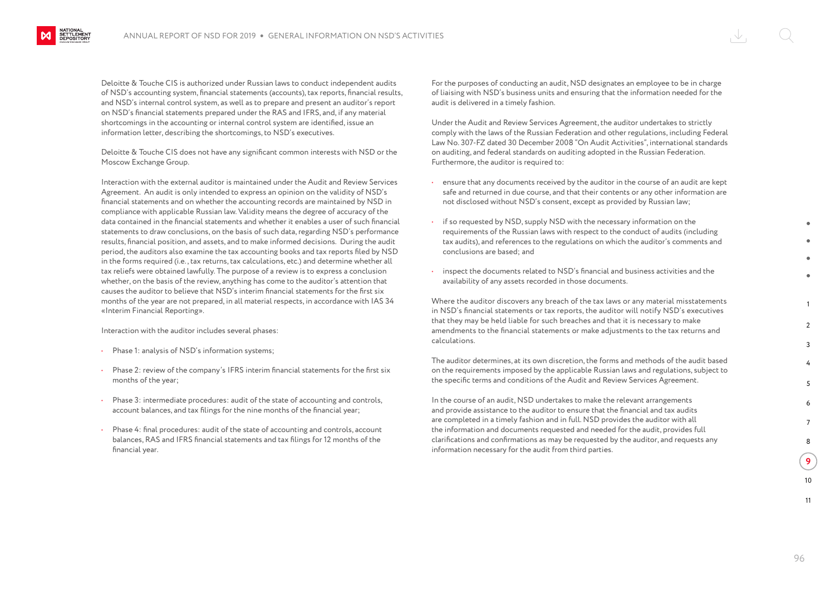Deloitte & Touche CIS is authorized under Russian laws to conduct independent audits of NSD's accounting system, financial statements (accounts), tax reports, financial results, and NSD's internal control system, as well as to prepare and present an auditor's report on NSD's financial statements prepared under the RAS and IFRS, and, if any material shortcomings in the accounting or internal control system are identified, issue an information letter, describing the shortcomings, to NSD's executives.

Deloitte & Touche CIS does not have any significant common interests with NSD or the Moscow Exchange Group.

Interaction with the external auditor is maintained under the Audit and Review Services Agreement. An audit is only intended to express an opinion on the validity of NSD's financial statements and on whether the accounting records are maintained by NSD in compliance with applicable Russian law. Validity means the degree of accuracy of the data contained in the financial statements and whether it enables a user of such financial statements to draw conclusions, on the basis of such data, regarding NSD's performance results, financial position, and assets, and to make informed decisions. During the audit period, the auditors also examine the tax accounting books and tax reports filed by NSD in the forms required (i.e., tax returns, tax calculations, etc.) and determine whether all tax reliefs were obtained lawfully. The purpose of a review is to express a conclusion whether, on the basis of the review, anything has come to the auditor's attention that causes the auditor to believe that NSD's interim financial statements for the first six months of the year are not prepared, in all material respects, in accordance with IAS 34 «Interim Financial Reporting».

Interaction with the auditor includes several phases:

**NATIONAL<br>SETTLEMENT**<br>DEPOSITORY

- Phase 1: analysis of NSD's information systems;
- Phase 2: review of the company's IFRS interim financial statements for the first six months of the year;
- Phase 3: intermediate procedures: audit of the state of accounting and controls, account balances, and tax filings for the nine months of the financial year;
- Phase 4: final procedures: audit of the state of accounting and controls, account balances, RAS and IFRS financial statements and tax filings for 12 months of the financial year.

For the purposes of conducting an audit, NSD designates an employee to be in charge of liaising with NSD's business units and ensuring that the information needed for the audit is delivered in a timely fashion.

Under the Audit and Review Services Agreement, the auditor undertakes to strictly comply with the laws of the Russian Federation and other regulations, including Federal Law No. 307-FZ dated 30 December 2008 "On Audit Activities", international standards on auditing, and federal standards on auditing adopted in the Russian Federation. Furthermore, the auditor is required to:

- ensure that any documents received by the auditor in the course of an audit are kept safe and returned in due course, and that their contents or any other information are not disclosed without NSD's consent, except as provided by Russian law;
- if so requested by NSD, supply NSD with the necessary information on the requirements of the Russian laws with respect to the conduct of audits (including tax audits), and references to the regulations on which the auditor's comments and conclusions are based; and
- inspect the documents related to NSD's financial and business activities and the availability of any assets recorded in those documents.

Where the auditor discovers any breach of the tax laws or any material misstatements in NSD's financial statements or tax reports, the auditor will notify NSD's executives that they may be held liable for such breaches and that it is necessary to make amendments to the financial statements or make adjustments to the tax returns and calculations.

The auditor determines, at its own discretion, the forms and methods of the audit based on the requirements imposed by the applicable Russian laws and regulations, subject to the specific terms and conditions of the Audit and Review Services Agreement.

In the course of an audit, NSD undertakes to make the relevant arrangements and provide assistance to the auditor to ensure that the financial and tax audits are completed in a timely fashion and in full. NSD provides the auditor with all the information and documents requested and needed for the audit, provides full clarifications and confirmations as may be requested by the auditor, and requests any information necessary for the audit from third parties.

1

 $\mathcal{L}$ 3

> 4 5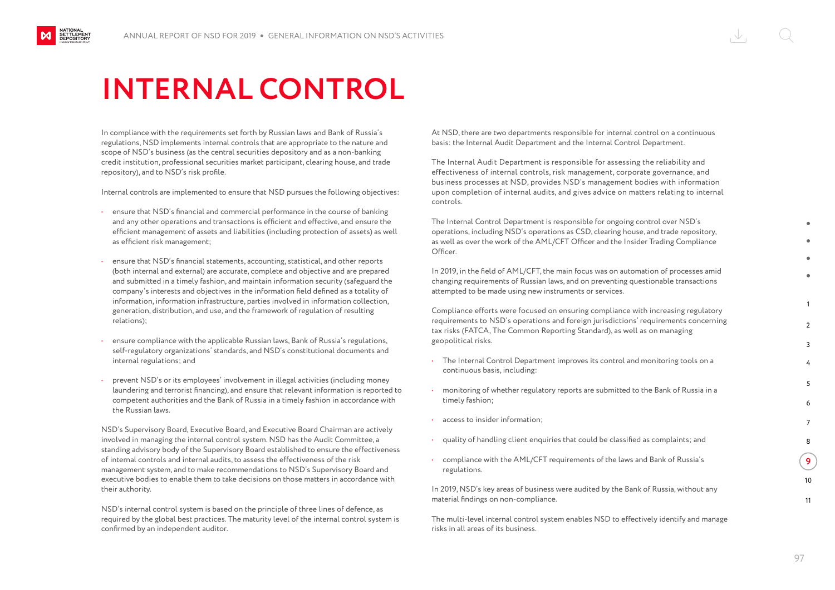### **INTERNAL CONTROL**

In compliance with the requirements set forth by Russian laws and Bank of Russia's regulations, NSD implements internal controls that are appropriate to the nature and scope of NSD's business (as the central securities depository and as a non-banking credit institution, professional securities market participant, clearing house, and trade repository), and to NSD's risk profile.

Internal controls are implemented to ensure that NSD pursues the following objectives:

- ensure that NSD's financial and commercial performance in the course of banking and any other operations and transactions is efficient and effective, and ensure the efficient management of assets and liabilities (including protection of assets) as well as efficient risk management;
- ensure that NSD's financial statements, accounting, statistical, and other reports (both internal and external) are accurate, complete and objective and are prepared and submitted in a timely fashion, and maintain information security (safeguard the company's interests and objectives in the information field defined as a totality of information, information infrastructure, parties involved in information collection, generation, distribution, and use, and the framework of regulation of resulting relations);
- ensure compliance with the applicable Russian laws, Bank of Russia's regulations, self-regulatory organizations' standards, and NSD's constitutional documents and internal regulations; and
- prevent NSD's or its employees' involvement in illegal activities (including money laundering and terrorist financing), and ensure that relevant information is reported to competent authorities and the Bank of Russia in a timely fashion in accordance with the Russian laws.

NSD's Supervisory Board, Executive Board, and Executive Board Chairman are actively involved in managing the internal control system. NSD has the Audit Committee, a standing advisory body of the Supervisory Board established to ensure the effectiveness of internal controls and internal audits, to assess the effectiveness of the risk management system, and to make recommendations to NSD's Supervisory Board and executive bodies to enable them to take decisions on those matters in accordance with their authority.

NSD's internal control system is based on the principle of three lines of defence, as required by the global best practices. The maturity level of the internal control system is confirmed by an independent auditor.

At NSD, there are two departments responsible for internal control on a continuous basis: the Internal Audit Department and the Internal Control Department.

The Internal Audit Department is responsible for assessing the reliability and effectiveness of internal controls, risk management, corporate governance, and business processes at NSD, provides NSD's management bodies with information upon completion of internal audits, and gives advice on matters relating to internal controls.

The Internal Control Department is responsible for ongoing control over NSD's operations, including NSD's operations as CSD, clearing house, and trade repository, as well as over the work of the AML/CFT Officer and the Insider Trading Compliance Officer.

In 2019, in the field of AML/CFT, the main focus was on automation of processes amid changing requirements of Russian laws, and on preventing questionable transactions attempted to be made using new instruments or services.

Compliance efforts were focused on ensuring compliance with increasing regulatory requirements to NSD's operations and foreign jurisdictions' requirements concerning tax risks (FATCA, The Common Reporting Standard), as well as on managing geopolitical risks.

- The Internal Control Department improves its control and monitoring tools on a continuous basis, including:
- monitoring of whether regulatory reports are submitted to the Bank of Russia in a timely fashion;
- access to insider information:
- quality of handling client enquiries that could be classified as complaints; and
- compliance with the AML/CFT requirements of the laws and Bank of Russia's regulations.

In 2019, NSD's key areas of business were audited by the Bank of Russia, without any material findings on non-compliance.

The multi-level internal control system enables NSD to effectively identify and manage risks in all areas of its business.

1  $\mathcal{L}$ 3

> 4 5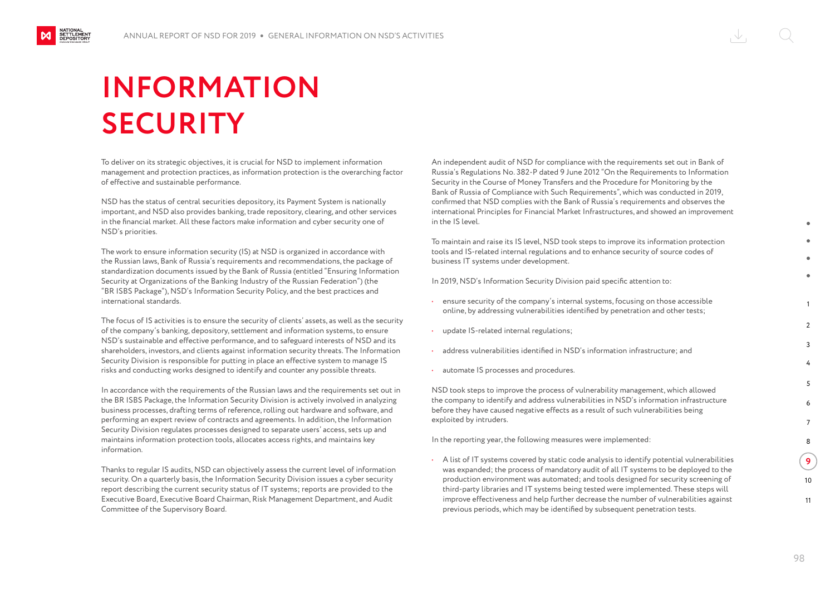# **INFORMATION SECURITY**

NATIONAL<br>SETTLEMENT<br>DEPOSITORY

To deliver on its strategic objectives, it is crucial for NSD to implement information management and protection practices, as information protection is the overarching factor of effective and sustainable performance.

NSD has the status of central securities depository, its Payment System is nationally important, and NSD also provides banking, trade repository, clearing, and other services in the financial market. All these factors make information and cyber security one of NSD's priorities.

The work to ensure information security (IS) at NSD is organized in accordance with the Russian laws, Bank of Russia's requirements and recommendations, the package of standardization documents issued by the Bank of Russia (entitled "Ensuring Information Security at Organizations of the Banking Industry of the Russian Federation") (the "BR ISBS Package"), NSD's Information Security Policy, and the best practices and international standards.

The focus of IS activities is to ensure the security of clients' assets, as well as the security of the company's banking, depository, settlement and information systems, to ensure NSD's sustainable and effective performance, and to safeguard interests of NSD and its shareholders, investors, and clients against information security threats. The Information Security Division is responsible for putting in place an effective system to manage IS risks and conducting works designed to identify and counter any possible threats.

In accordance with the requirements of the Russian laws and the requirements set out in the BR ISBS Package, the Information Security Division is actively involved in analyzing business processes, drafting terms of reference, rolling out hardware and software, and performing an expert review of contracts and agreements. In addition, the Information Security Division regulates processes designed to separate users' access, sets up and maintains information protection tools, allocates access rights, and maintains key information.

Thanks to regular IS audits, NSD can objectively assess the current level of information security. On a quarterly basis, the Information Security Division issues a cyber security report describing the current security status of IT systems; reports are provided to the Executive Board, Executive Board Chairman, Risk Management Department, and Audit Committee of the Supervisory Board.

An independent audit of NSD for compliance with the requirements set out in Bank of Russia's Regulations No. 382-P dated 9 June 2012 "On the Requirements to Information Security in the Course of Money Transfers and the Procedure for Monitoring by the Bank of Russia of Compliance with Such Requirements", which was conducted in 2019, confirmed that NSD complies with the Bank of Russia's requirements and observes the international Principles for Financial Market Infrastructures, and showed an improvement in the IS level.

To maintain and raise its IS level, NSD took steps to improve its information protection tools and IS-related internal regulations and to enhance security of source codes of business IT systems under development.

In 2019, NSD's Information Security Division paid specific attention to:

- ensure security of the company's internal systems, focusing on those accessible online, by addressing vulnerabilities identified by penetration and other tests;
- update IS-related internal regulations;
- address vulnerabilities identified in NSD's information infrastructure; and
- automate IS processes and procedures.

NSD took steps to improve the process of vulnerability management, which allowed the company to identify and address vulnerabilities in NSD's information infrastructure before they have caused negative effects as a result of such vulnerabilities being exploited by intruders.

In the reporting year, the following measures were implemented:

• A list of IT systems covered by static code analysis to identify potential vulnerabilities was expanded; the process of mandatory audit of all IT systems to be deployed to the production environment was automated; and tools designed for security screening of third-party libraries and IT systems being tested were implemented. These steps will improve effectiveness and help further decrease the number of vulnerabilities against previous periods, which may be identified by subsequent penetration tests.

1

 $\mathcal{L}$ 3

> 4 5